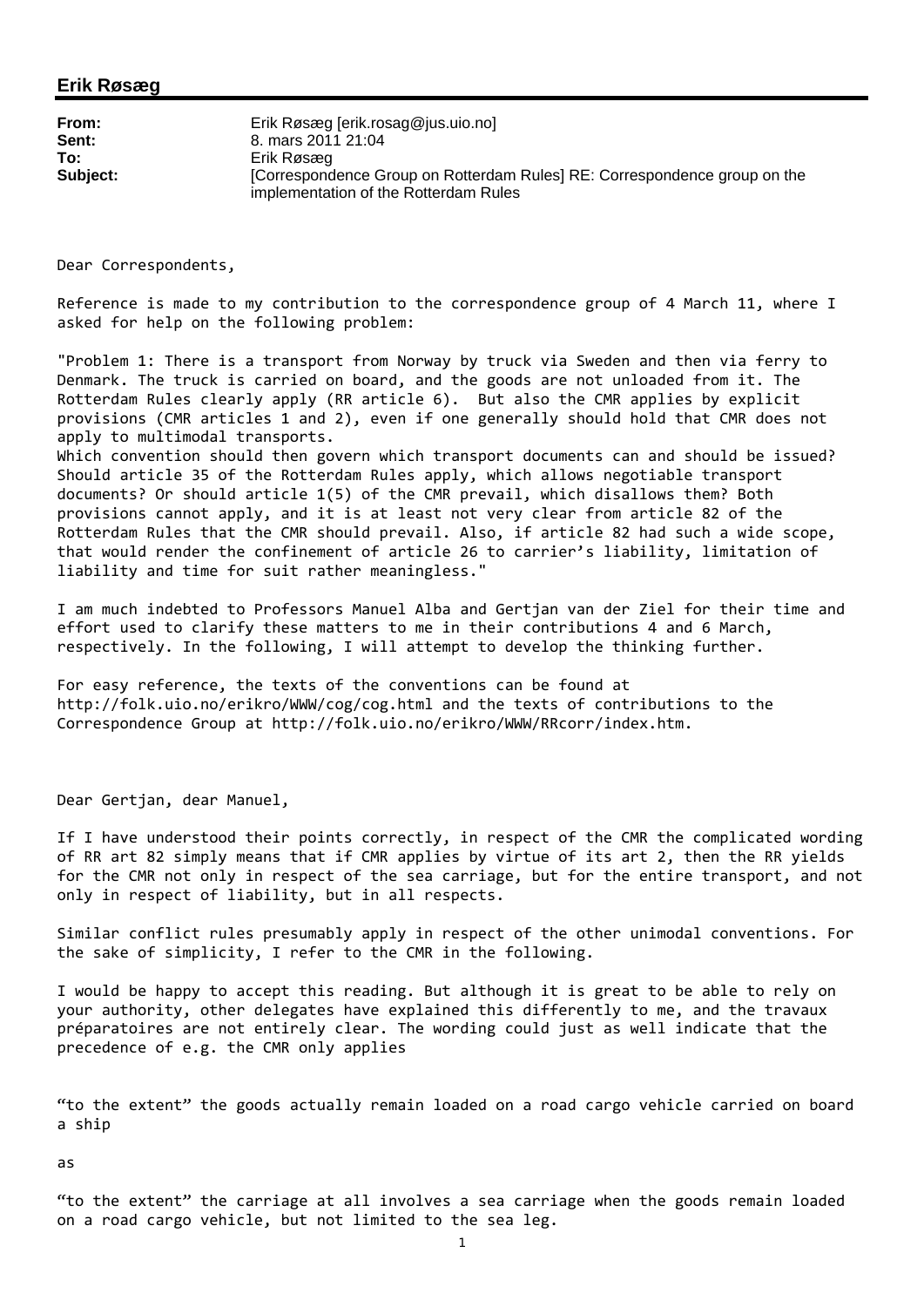## **Erik Røsæg**

| From:    | Erik Røsæg [erik.rosag@jus.uio.no]                                                                                 |
|----------|--------------------------------------------------------------------------------------------------------------------|
| Sent:    | 8. mars 2011 21:04                                                                                                 |
| To:      | Erik Røsæg                                                                                                         |
| Subject: | [Correspondence Group on Rotterdam Rules] RE: Correspondence group on the<br>implementation of the Rotterdam Rules |

Dear Correspondents,

Reference is made to my contribution to the correspondence group of 4 March 11, where I asked for help on the following problem:

"Problem 1: There is a transport from Norway by truck via Sweden and then via ferry to Denmark. The truck is carried on board, and the goods are not unloaded from it. The Rotterdam Rules clearly apply (RR article 6). But also the CMR applies by explicit provisions (CMR articles 1 and 2), even if one generally should hold that CMR does not apply to multimodal transports.

Which convention should then govern which transport documents can and should be issued? Should article 35 of the Rotterdam Rules apply, which allows negotiable transport documents? Or should article 1(5) of the CMR prevail, which disallows them? Both provisions cannot apply, and it is at least not very clear from article 82 of the Rotterdam Rules that the CMR should prevail. Also, if article 82 had such a wide scope, that would render the confinement of article 26 to carrier's liability, limitation of liability and time for suit rather meaningless."

I am much indebted to Professors Manuel Alba and Gertjan van der Ziel for their time and effort used to clarify these matters to me in their contributions 4 and 6 March, respectively. In the following, I will attempt to develop the thinking further.

For easy reference, the texts of the conventions can be found at http://folk.uio.no/erikro/WWW/cog/cog.html and the texts of contributions to the Correspondence Group at http://folk.uio.no/erikro/WWW/RRcorr/index.htm.

Dear Gertjan, dear Manuel,

If I have understood their points correctly, in respect of the CMR the complicated wording of RR art 82 simply means that if CMR applies by virtue of its art 2, then the RR yields for the CMR not only in respect of the sea carriage, but for the entire transport, and not only in respect of liability, but in all respects.

Similar conflict rules presumably apply in respect of the other unimodal conventions. For the sake of simplicity, I refer to the CMR in the following.

I would be happy to accept this reading. But although it is great to be able to rely on your authority, other delegates have explained this differently to me, and the travaux préparatoires are not entirely clear. The wording could just as well indicate that the precedence of e.g. the CMR only applies

"to the extent" the goods actually remain loaded on a road cargo vehicle carried on board a ship

as

"to the extent" the carriage at all involves a sea carriage when the goods remain loaded on a road cargo vehicle, but not limited to the sea leg.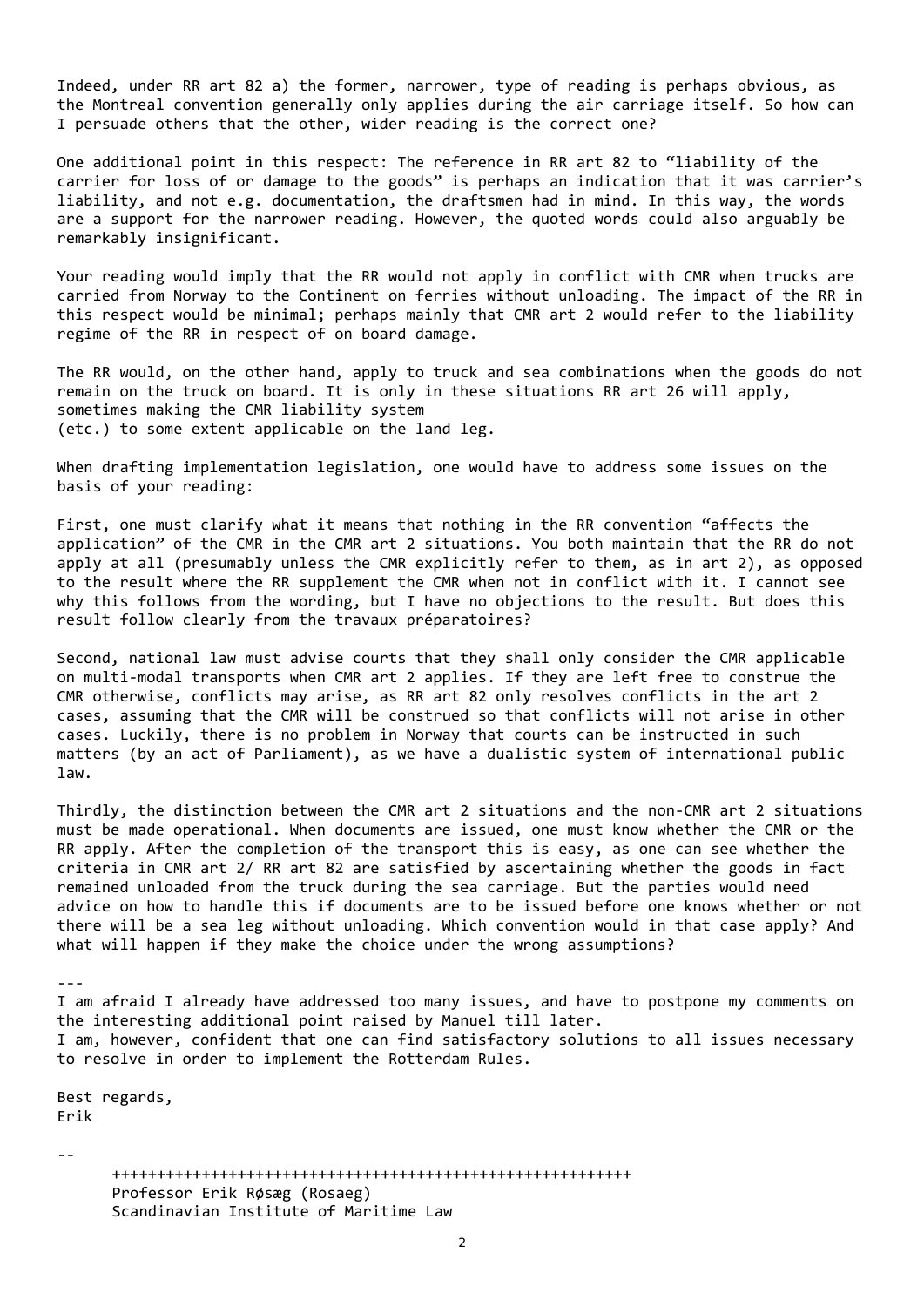Indeed, under RR art 82 a) the former, narrower, type of reading is perhaps obvious, as the Montreal convention generally only applies during the air carriage itself. So how can I persuade others that the other, wider reading is the correct one?

One additional point in this respect: The reference in RR art 82 to "liability of the carrier for loss of or damage to the goods" is perhaps an indication that it was carrier's liability, and not e.g. documentation, the draftsmen had in mind. In this way, the words are a support for the narrower reading. However, the quoted words could also arguably be remarkably insignificant.

Your reading would imply that the RR would not apply in conflict with CMR when trucks are carried from Norway to the Continent on ferries without unloading. The impact of the RR in this respect would be minimal; perhaps mainly that CMR art 2 would refer to the liability regime of the RR in respect of on board damage.

The RR would, on the other hand, apply to truck and sea combinations when the goods do not remain on the truck on board. It is only in these situations RR art 26 will apply, sometimes making the CMR liability system (etc.) to some extent applicable on the land leg.

When drafting implementation legislation, one would have to address some issues on the basis of your reading:

First, one must clarify what it means that nothing in the RR convention "affects the application" of the CMR in the CMR art 2 situations. You both maintain that the RR do not apply at all (presumably unless the CMR explicitly refer to them, as in art 2), as opposed to the result where the RR supplement the CMR when not in conflict with it. I cannot see why this follows from the wording, but I have no objections to the result. But does this result follow clearly from the travaux préparatoires?

Second, national law must advise courts that they shall only consider the CMR applicable on multi‐modal transports when CMR art 2 applies. If they are left free to construe the CMR otherwise, conflicts may arise, as RR art 82 only resolves conflicts in the art 2 cases, assuming that the CMR will be construed so that conflicts will not arise in other cases. Luckily, there is no problem in Norway that courts can be instructed in such matters (by an act of Parliament), as we have a dualistic system of international public law.

Thirdly, the distinction between the CMR art 2 situations and the non‐CMR art 2 situations must be made operational. When documents are issued, one must know whether the CMR or the RR apply. After the completion of the transport this is easy, as one can see whether the criteria in CMR art 2/ RR art 82 are satisfied by ascertaining whether the goods in fact remained unloaded from the truck during the sea carriage. But the parties would need advice on how to handle this if documents are to be issued before one knows whether or not there will be a sea leg without unloading. Which convention would in that case apply? And what will happen if they make the choice under the wrong assumptions?

 $\mathcal{L}_{\mathcal{L}}$ 

I am afraid I already have addressed too many issues, and have to postpone my comments on the interesting additional point raised by Manuel till later. I am, however, confident that one can find satisfactory solutions to all issues necessary to resolve in order to implement the Rotterdam Rules.

Best regards, Erik

‐‐

++++++++++++++++++++++++++++++++++++++++++++++++++++++++++ Professor Erik Røsæg (Rosaeg) Scandinavian Institute of Maritime Law